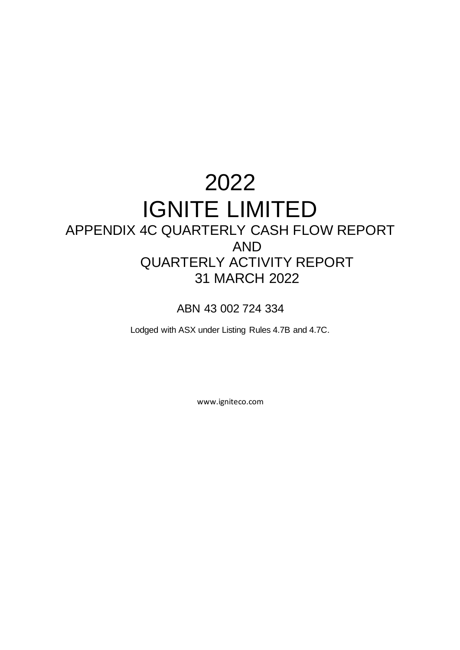# 2022 IGNITE LIMITED APPENDIX 4C QUARTERLY CASH FLOW REPORT AND QUARTERLY ACTIVITY REPORT 31 MARCH 2022

ABN 43 002 724 334

Lodged with ASX under Listing Rules 4.7B and 4.7C.

www.igniteco.com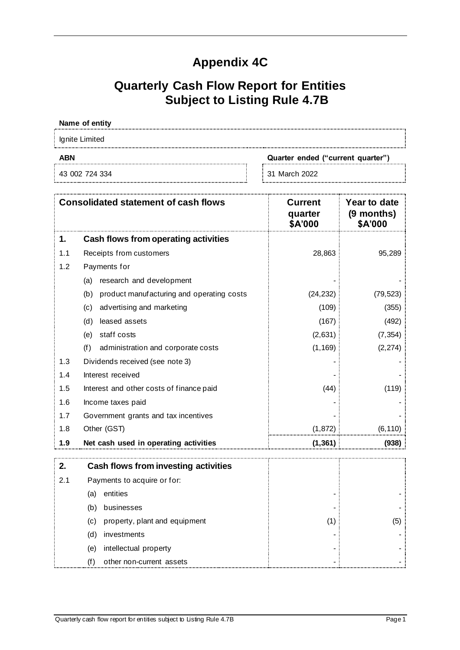## **Appendix 4C**

## **Quarterly Cash Flow Report for Entities Subject to Listing Rule 4.7B**

## **Name of entity** Ignite Limited **ABN Quarter ended ("current quarter")** 43 002 724 334 31 March 2022

| <b>Consolidated statement of cash flows</b> |                                                  | <b>Current</b><br>quarter<br>\$A'000 | Year to date<br>(9 months)<br>\$A'000 |
|---------------------------------------------|--------------------------------------------------|--------------------------------------|---------------------------------------|
| 1.                                          | Cash flows from operating activities             |                                      |                                       |
| 1.1                                         | Receipts from customers                          | 28,863                               | 95,289                                |
| 1.2                                         | Payments for                                     |                                      |                                       |
|                                             | research and development<br>(a)                  |                                      |                                       |
|                                             | (b)<br>product manufacturing and operating costs | (24, 232)                            | (79, 523)                             |
|                                             | advertising and marketing<br>(c)                 | (109)                                | (355)                                 |
|                                             | leased assets<br>(d)                             | (167)                                | (492)                                 |
|                                             | staff costs<br>(e)                               | (2,631)                              | (7, 354)                              |
|                                             | (f)<br>administration and corporate costs        | (1, 169)                             | (2, 274)                              |
| 1.3                                         | Dividends received (see note 3)                  |                                      |                                       |
| 1.4                                         | Interest received                                |                                      |                                       |
| 1.5                                         | Interest and other costs of finance paid         | (44)                                 | (119)                                 |
| 1.6                                         | Income taxes paid                                |                                      |                                       |
| 1.7                                         | Government grants and tax incentives             |                                      |                                       |
| 1.8                                         | Other (GST)                                      | (1, 872)                             | (6, 110)                              |
| 1.9                                         | Net cash used in operating activities            | (1, 361)                             | (938)                                 |
| 2.                                          | <b>Cash flows from investing activities</b>      |                                      |                                       |
| 2.1                                         | Payments to acquire or for:                      |                                      |                                       |
|                                             | entities<br>(a)                                  |                                      |                                       |
|                                             | (b)<br>businesses                                |                                      |                                       |
|                                             | property, plant and equipment<br>(c)             | (1)                                  | (5)                                   |
|                                             | (d)<br>investments                               |                                      |                                       |
|                                             | intellectual property<br>(e)                     |                                      |                                       |
|                                             | (f)<br>other non-current assets                  |                                      |                                       |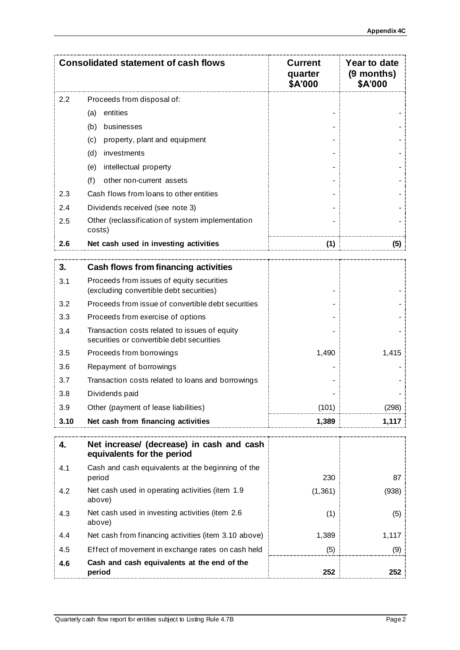|      | <b>Consolidated statement of cash flows</b>                                                | <b>Current</b><br>quarter<br>\$A'000 | Year to date<br>$(9$ months)<br>\$A'000 |
|------|--------------------------------------------------------------------------------------------|--------------------------------------|-----------------------------------------|
| 2.2  | Proceeds from disposal of:                                                                 |                                      |                                         |
|      | entities<br>(a)                                                                            |                                      |                                         |
|      | (b)<br>businesses                                                                          |                                      |                                         |
|      | property, plant and equipment<br>(c)                                                       |                                      |                                         |
|      | (d)<br>investments                                                                         |                                      |                                         |
|      | intellectual property<br>(e)                                                               |                                      |                                         |
|      | (f)<br>other non-current assets                                                            |                                      |                                         |
| 2.3  | Cash flows from loans to other entities                                                    |                                      |                                         |
| 2.4  | Dividends received (see note 3)                                                            |                                      |                                         |
| 2.5  | Other (reclassification of system implementation<br>costs)                                 |                                      |                                         |
| 2.6  | Net cash used in investing activities                                                      |                                      | (5)                                     |
| 3.   | Cash flows from financing activities                                                       |                                      |                                         |
|      | Proceeds from issues of equity securities                                                  |                                      |                                         |
| 3.1  | (excluding convertible debt securities)                                                    |                                      |                                         |
| 3.2  | Proceeds from issue of convertible debt securities                                         |                                      |                                         |
| 3.3  | Proceeds from exercise of options                                                          |                                      |                                         |
| 3.4  | Transaction costs related to issues of equity<br>securities or convertible debt securities |                                      |                                         |
| 3.5  | Proceeds from borrowings                                                                   | 1,490                                | 1,415                                   |
| 3.6  | Repayment of borrowings                                                                    |                                      |                                         |
| 3.7  | Transaction costs related to loans and borrowings                                          |                                      |                                         |
| 3.8  | Dividends paid                                                                             |                                      |                                         |
| 3.9  | Other (payment of lease liabilities)                                                       | (101)                                | (298)                                   |
| 3.10 | Net cash from financing activities                                                         | 1,389                                | 1,117                                   |
| 4.   | Net increase/ (decrease) in cash and cash                                                  |                                      |                                         |
|      | equivalents for the period                                                                 |                                      |                                         |
| 4.1  | Cash and cash equivalents at the beginning of the<br>period                                | 230                                  | 87                                      |
| 4.2  | Net cash used in operating activities (item 1.9<br>above)                                  | (1, 361)                             | (938)                                   |
| 4.3  | Net cash used in investing activities (item 2.6<br>above)                                  | (1)                                  | (5)                                     |
| 4.4  | Net cash from financing activities (item 3.10 above)                                       | 1,389                                | 1,117                                   |
| 4.5  | Effect of movement in exchange rates on cash held                                          | (5)                                  | (9)                                     |
| 4.6  | Cash and cash equivalents at the end of the<br>period                                      | 252                                  | 252                                     |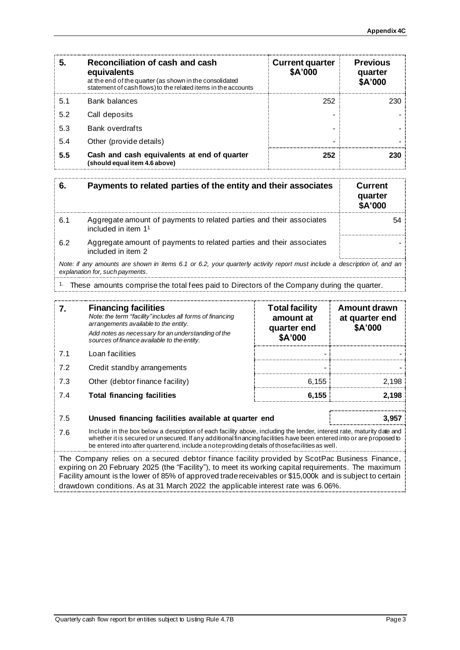| 5   | Reconciliation of cash and cash<br>equivalents<br>at the end of the quarter (as shown in the consolidated<br>statement of cash flows) to the related items in the accounts | <b>Current quarter</b><br>\$A'000 | <b>Previous</b><br>quarter<br>\$A'000 |
|-----|----------------------------------------------------------------------------------------------------------------------------------------------------------------------------|-----------------------------------|---------------------------------------|
| 5.1 | Bank balances                                                                                                                                                              | 252                               | 230                                   |
| 5.2 | Call deposits                                                                                                                                                              |                                   |                                       |
| 5.3 | <b>Bank overdrafts</b>                                                                                                                                                     |                                   |                                       |
| 5.4 | Other (provide details)                                                                                                                                                    |                                   |                                       |
| 5.5 | Cash and cash equivalents at end of quarter<br>(should equal item 4.6 above)                                                                                               | 252                               |                                       |

|     | Payments to related parties of the entity and their associates                                                                                              | Current<br>quarter<br>\$A'000 |
|-----|-------------------------------------------------------------------------------------------------------------------------------------------------------------|-------------------------------|
| 6.1 | Aggregate amount of payments to related parties and their associates<br>included in item $11$                                                               |                               |
| 6.2 | Aggregate amount of payments to related parties and their associates<br>included in item 2                                                                  |                               |
|     | Note: if any amounts are shown in items 6.1 or 6.2, your quarterly activity report must include a description of, and an<br>explanation for, such payments. |                               |

#### <sup>1.</sup> These amounts comprise the total fees paid to Directors of the Company during the quarter.

| 7.  | <b>Financing facilities</b><br>Note: the term "facility" includes all forms of financing<br>arrangements available to the entity.<br>Add notes as necessary for an understanding of the<br>sources of finance available to the entity.                                                                                                            | <b>Total facility</b><br>amount at<br>quarter end<br>\$A'000 | <b>Amount drawn</b><br>at quarter end<br>\$A'000 |
|-----|---------------------------------------------------------------------------------------------------------------------------------------------------------------------------------------------------------------------------------------------------------------------------------------------------------------------------------------------------|--------------------------------------------------------------|--------------------------------------------------|
| 7.1 | Loan facilities                                                                                                                                                                                                                                                                                                                                   |                                                              |                                                  |
| 7.2 | Credit standby arrangements                                                                                                                                                                                                                                                                                                                       |                                                              |                                                  |
| 7.3 | Other (debtor finance facility)                                                                                                                                                                                                                                                                                                                   | 6.155                                                        | 2.198                                            |
| 7.4 | <b>Total financing facilities</b>                                                                                                                                                                                                                                                                                                                 | 6.155                                                        | 2.198                                            |
|     |                                                                                                                                                                                                                                                                                                                                                   |                                                              |                                                  |
| 7.5 | Unused financing facilities available at quarter end                                                                                                                                                                                                                                                                                              |                                                              | 3.95.                                            |
| 7.6 | Include in the box below a description of each facility above, including the lender, interest rate, maturity date and<br>whether it is secured or unsecured. If any additional financing facilities have been entered into or are proposed to<br>be entered into after quarter end, include a note providing details of those facilities as well. |                                                              |                                                  |

The Company relies on a secured debtor finance facility provided by ScotPac Business Finance, expiring on 20 February 2025 (the "Facility"), to meet its working capital requirements. The maximum Facility amount is the lower of 85% of approved trade receivables or \$15,000k and is subject to certain drawdown conditions. As at 31 March 2022 the applicable interest rate was 6.06%.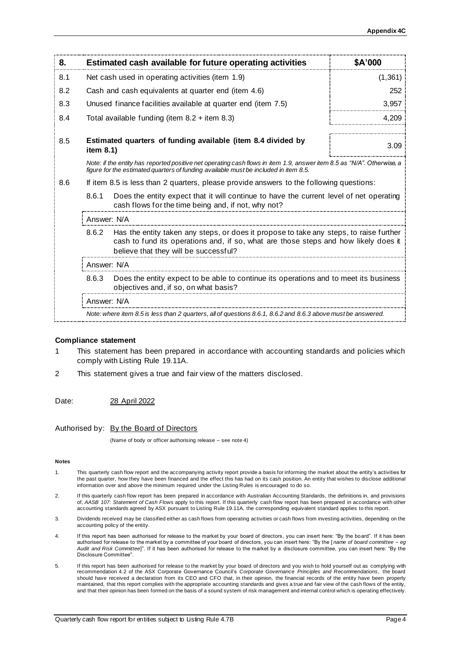| 8.  |                                                                                                                                                                                                                                 | Estimated cash available for future operating activities                                                      | \$A'000  |
|-----|---------------------------------------------------------------------------------------------------------------------------------------------------------------------------------------------------------------------------------|---------------------------------------------------------------------------------------------------------------|----------|
| 8.1 |                                                                                                                                                                                                                                 | Net cash used in operating activities (item 1.9)                                                              | (1, 361) |
| 8.2 | Cash and cash equivalents at quarter end (item 4.6)                                                                                                                                                                             |                                                                                                               | 252      |
| 8.3 |                                                                                                                                                                                                                                 | Unused finance facilities available at quarter end (item 7.5)                                                 | 3,957    |
| 8.4 | Total available funding (item $8.2 +$ item $8.3$ )                                                                                                                                                                              |                                                                                                               | 4,209    |
| 8.5 | Estimated quarters of funding available (item 8.4 divided by<br>item $8.1$ )                                                                                                                                                    |                                                                                                               | 3.09     |
|     | Note: if the entity has reported positive net operating cash flows in item 1.9, answer item 8.5 as "N/A". Otherwise, a<br>figure for the estimated quarters of funding available must be included in item 8.5.                  |                                                                                                               |          |
| 8.6 | If item 8.5 is less than 2 quarters, please provide answers to the following questions:                                                                                                                                         |                                                                                                               |          |
|     | 8.6.1<br>Does the entity expect that it will continue to have the current level of net operating<br>cash flows for the time being and, if not, why not?                                                                         |                                                                                                               |          |
|     | Answer: N/A                                                                                                                                                                                                                     |                                                                                                               |          |
|     | 8.6.2<br>Has the entity taken any steps, or does it propose to take any steps, to raise further<br>cash to fund its operations and, if so, what are those steps and how likely does it<br>believe that they will be successful? |                                                                                                               |          |
|     | Answer: N/A                                                                                                                                                                                                                     |                                                                                                               |          |
|     | Does the entity expect to be able to continue its operations and to meet its business<br>8.6.3<br>objectives and, if so, on what basis?                                                                                         |                                                                                                               |          |
|     | Answer: N/A                                                                                                                                                                                                                     |                                                                                                               |          |
|     |                                                                                                                                                                                                                                 | Note: where item 8.5 is less than 2 quarters, all of questions 8.6.1, 8.6.2 and 8.6.3 above must be answered. |          |

#### **Compliance statement**

- 1 This statement has been prepared in accordance with accounting standards and policies which comply with Listing Rule 19.11A.
- 2 This statement gives a true and fair view of the matters disclosed.

Date: 28 April 2022

Authorised by: By the Board of Directors

(Name of body or officer authorising release – see note 4)

#### **Notes**

- 1. This quarterly cash flow report and the accompanying activity report provide a basis for informing the market about the entity's activities for the past quarter, how they have been financed and the effect this has had on its cash position. An entity that wishes to disclose additional information over and above the minimum required under the Listing Rules is encouraged to do so.
- 2. If this quarterly cash flow report has been prepared in accordance with Australian Accounting Standards, the definitions in, and provisions of, *AASB 107: Statement of Cash Flows* apply to this report. If this quarterly cash flow report has been prepared in accordance with other accounting standards agreed by ASX pursuant to Listing Rule 19.11A, the corresponding equivalent standard applies to this report.
- 3. Dividends received may be classified either as cash flows from operating activities or cash flows from investing activities, depending on the accounting policy of the entity.
- 4. If this report has been authorised for release to the market by your board of directors, you can insert here: "By the board". If it has been authorised for release to the market by a committee of your board of directors, you can insert here: "By the [ *name of board committee* – *eg Audit and Risk Committee*]". If it has been authorised for release to the market by a disclosure committee, you can insert here: "By the Disclosure Committee".
- 5. If this report has been authorised for release to the market by your board of directors and you wish to hold yourself out as complying with recommendation 4.2 of the ASX Corporate Governance Council's *Corporate Governance Principles and Recommendations*, the board should have received a declaration from its CEO and CFO that, in their opinion, the financial records of the entity have been properly maintained, that this report complies with the appropriate accounting standards and gives a true and fair view of the cash flows of the entity, and that their opinion has been formed on the basis of a sound system of risk management and internal control which is operating effectively.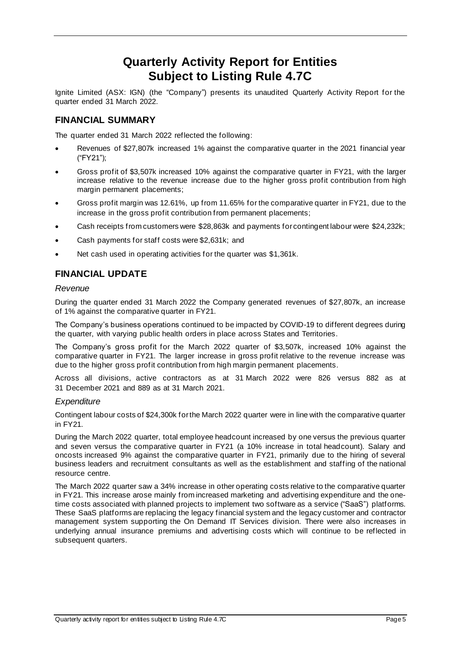### **Quarterly Activity Report for Entities Subject to Listing Rule 4.7C**

Ignite Limited (ASX: IGN) (the "Company") presents its unaudited Quarterly Activity Report for the quarter ended 31 March 2022.

#### **FINANCIAL SUMMARY**

The quarter ended 31 March 2022 reflected the following:

- Revenues of \$27,807k increased 1% against the comparative quarter in the 2021 financial year ("FY21");
- Gross profit of \$3,507k increased 10% against the comparative quarter in FY21, with the larger increase relative to the revenue increase due to the higher gross profit contribution from high margin permanent placements;
- Gross profit margin was 12.61%, up from 11.65% for the comparative quarter in FY21, due to the increase in the gross profit contribution from permanent placements;
- Cash receipts from customers were \$28,863k and payments for contingent labour were \$24,232k;
- Cash payments for staff costs were \$2,631k; and
- Net cash used in operating activities for the quarter was \$1,361k.

### **FINANCIAL UPDATE**

#### *Revenue*

During the quarter ended 31 March 2022 the Company generated revenues of \$27,807k, an increase of 1% against the comparative quarter in FY21.

The Company's business operations continued to be impacted by COVID-19 to different degrees during the quarter, with varying public health orders in place across States and Territories.

The Company's gross profit for the March 2022 quarter of \$3,507k, increased 10% against the comparative quarter in FY21. The larger increase in gross profit relative to the revenue increase was due to the higher gross profit contribution from high margin permanent placements.

Across all divisions, active contractors as at 31 March 2022 were 826 versus 882 as at 31 December 2021 and 889 as at 31 March 2021.

#### *Expenditure*

Contingent labour costs of \$24,300k for the March 2022 quarter were in line with the comparative quarter in FY21.

During the March 2022 quarter, total employee headcount increased by one versus the previous quarter and seven versus the comparative quarter in FY21 (a 10% increase in total headcount). Salary and oncosts increased 9% against the comparative quarter in FY21, primarily due to the hiring of several business leaders and recruitment consultants as well as the establishment and staffing of the national resource centre.

The March 2022 quarter saw a 34% increase in other operating costs relative to the comparative quarter in FY21. This increase arose mainly from increased marketing and advertising expenditure and the onetime costs associated with planned projects to implement two software as a service ("SaaS") platforms. These SaaS platforms are replacing the legacy financial system and the legacy customer and contractor management system supporting the On Demand IT Services division. There were also increases in underlying annual insurance premiums and advertising costs which will continue to be reflected in subsequent quarters.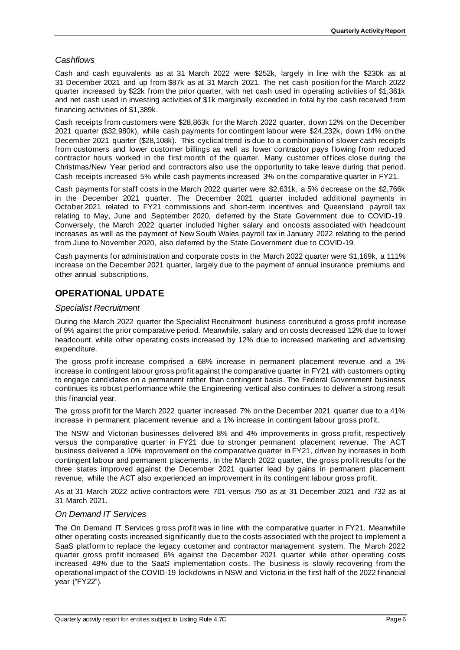#### *Cashflows*

Cash and cash equivalents as at 31 March 2022 were \$252k, largely in line with the \$230k as at 31 December 2021 and up from \$87k as at 31 March 2021. The net cash position for the March 2022 quarter increased by \$22k from the prior quarter, with net cash used in operating activities of \$1,361k and net cash used in investing activities of \$1k marginally exceeded in total by the cash received from financing activities of \$1,389k.

Cash receipts from customers were \$28,863k for the March 2022 quarter, down 12% on the December 2021 quarter (\$32,980k), while cash payments for contingent labour were \$24,232k, down 14% on the December 2021 quarter (\$28,108k). This cyclical trend is due to a combination of slower cash receipts from customers and lower customer billings as well as lower contractor pays flowing from reduced contractor hours worked in the first month of the quarter. Many customer offices close during the Christmas/New Year period and contractors also use the opportunity to take leave during that period. Cash receipts increased 5% while cash payments increased 3% on the comparative quarter in FY21.

Cash payments for staff costs in the March 2022 quarter were \$2,631k, a 5% decrease on the \$2,766k in the December 2021 quarter. The December 2021 quarter included additional payments in October 2021 related to FY21 commissions and short-term incentives and Queensland payroll tax relating to May, June and September 2020, deferred by the State Government due to COVID-19. Conversely, the March 2022 quarter included higher salary and oncosts associated with headcount increases as well as the payment of New South Wales payroll tax in January 2022 relating to the period from June to November 2020, also deferred by the State Government due to COVID-19.

Cash payments for administration and corporate costs in the March 2022 quarter were \$1,169k, a 111% increase on the December 2021 quarter, largely due to the payment of annual insurance premiums and other annual subscriptions.

#### **OPERATIONAL UPDATE**

#### *Specialist Recruitment*

During the March 2022 quarter the Specialist Recruitment business contributed a gross profit increase of 9% against the prior comparative period. Meanwhile, salary and on costs decreased 12% due to lower headcount, while other operating costs increased by 12% due to increased marketing and advertising expenditure.

The gross profit increase comprised a 68% increase in permanent placement revenue and a 1% increase in contingent labour gross profit against the comparative quarter in FY21 with customers opting to engage candidates on a permanent rather than contingent basis. The Federal Government business continues its robust performance while the Engineering vertical also continues to deliver a strong result this financial year.

The gross profit for the March 2022 quarter increased 7% on the December 2021 quarter due to a 41% increase in permanent placement revenue and a 1% increase in contingent labour gross profit.

The NSW and Victorian businesses delivered 8% and 4% improvements in gross profit, respectively versus the comparative quarter in FY21 due to stronger permanent placement revenue. The ACT business delivered a 10% improvement on the comparative quarter in FY21, driven by increases in both contingent labour and permanent placements. In the March 2022 quarter, the gross profit results for the three states improved against the December 2021 quarter lead by gains in permanent placement revenue, while the ACT also experienced an improvement in its contingent labour gross profit.

As at 31 March 2022 active contractors were 701 versus 750 as at 31 December 2021 and 732 as at 31 March 2021.

#### *On Demand IT Services*

The On Demand IT Services gross profit was in line with the comparative quarter in FY21. Meanwhile other operating costs increased significantly due to the costs associated with the project to implement a SaaS platform to replace the legacy customer and contractor management system. The March 2022 quarter gross profit increased 6% against the December 2021 quarter while other operating costs increased 48% due to the SaaS implementation costs. The business is slowly recovering from the operational impact of the COVID-19 lockdowns in NSW and Victoria in the first half of the 2022 financial year ("FY22").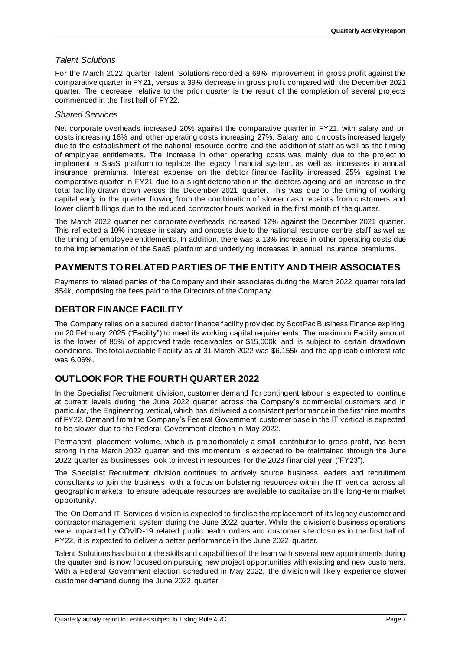#### *Talent Solutions*

For the March 2022 quarter Talent Solutions recorded a 69% improvement in gross profit against the comparative quarter in FY21, versus a 39% decrease in gross profit compared with the December 2021 quarter. The decrease relative to the prior quarter is the result of the completion of several projects commenced in the first half of FY22.

#### *Shared Services*

Net corporate overheads increased 20% against the comparative quarter in FY21, with salary and on costs increasing 16% and other operating costs increasing 27%. Salary and on costs increased largely due to the establishment of the national resource centre and the addition of staff as well as the timing of employee entitlements. The increase in other operating costs was mainly due to the project to implement a SaaS platform to replace the legacy financial system, as well as increases in annual insurance premiums. Interest expense on the debtor finance facility increased 25% against the comparative quarter in FY21 due to a slight deterioration in the debtors ageing and an increase in the total facility drawn down versus the December 2021 quarter. This was due to the timing of working capital early in the quarter flowing from the combination of slower cash receipts from customers and lower client billings due to the reduced contractor hours worked in the first month of the quarter.

The March 2022 quarter net corporate overheads increased 12% against the December 2021 quarter. This reflected a 10% increase in salary and oncosts due to the national resource centre staff as well as the timing of employee entitlements. In addition, there was a 13% increase in other operating costs due to the implementation of the SaaS platform and underlying increases in annual insurance premiums.

### **PAYMENTS TO RELATED PARTIES OF THE ENTITY AND THEIR ASSOCIATES**

Payments to related parties of the Company and their associates during the March 2022 quarter totalled \$54k, comprising the fees paid to the Directors of the Company.

#### **DEBTOR FINANCE FACILITY**

The Company relies on a secured debtor finance facility provided by ScotPac Business Finance expiring on 20 February 2025 ("Facility") to meet its working capital requirements. The maximum Facility amount is the lower of 85% of approved trade receivables or \$15,000k and is subject to certain drawdown conditions. The total available Facility as at 31 March 2022 was \$6,155k and the applicable interest rate was 6.06%.

### **OUTLOOK FOR THE FOURTH QUARTER 2022**

In the Specialist Recruitment division, customer demand for contingent labour is expected to continue at current levels during the June 2022 quarter across the Company's commercial customers and in particular, the Engineering vertical, which has delivered a consistent performance in the first nine months of FY22. Demand from the Company's Federal Government customer base in the IT vertical is expected to be slower due to the Federal Government election in May 2022.

Permanent placement volume, which is proportionately a small contributor to gross profit, has been strong in the March 2022 quarter and this momentum is expected to be maintained through the June 2022 quarter as businesses look to invest in resources for the 2023 financial year ("FY23").

The Specialist Recruitment division continues to actively source business leaders and recruitment consultants to join the business, with a focus on bolstering resources within the IT vertical across all geographic markets, to ensure adequate resources are available to capitalise on the long -term market opportunity.

The On Demand IT Services division is expected to finalise the replacement of its legacy customer and contractor management system during the June 2022 quarter. While the division's business operations were impacted by COVID-19 related public health orders and customer site closures in the first half of FY22, it is expected to deliver a better performance in the June 2022 quarter.

Talent Solutions has built out the skills and capabilities of the team with several new appointments during the quarter and is now focused on pursuing new project opportunities with existing and new customers. With a Federal Government election scheduled in May 2022, the division will likely experience slower customer demand during the June 2022 quarter.